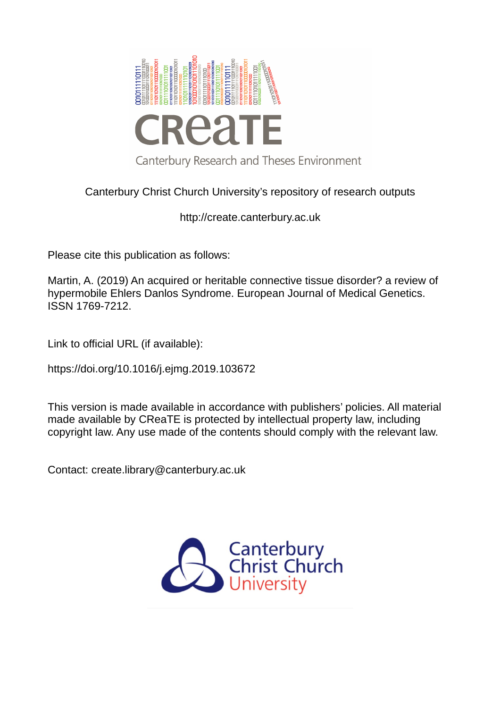

Canterbury Christ Church University's repository of research outputs

http://create.canterbury.ac.uk

Please cite this publication as follows:

Martin, A. (2019) An acquired or heritable connective tissue disorder? a review of hypermobile Ehlers Danlos Syndrome. European Journal of Medical Genetics. ISSN 1769-7212.

Link to official URL (if available):

https://doi.org/10.1016/j.ejmg.2019.103672

This version is made available in accordance with publishers' policies. All material made available by CReaTE is protected by intellectual property law, including copyright law. Any use made of the contents should comply with the relevant law.

Contact: create.library@canterbury.ac.uk

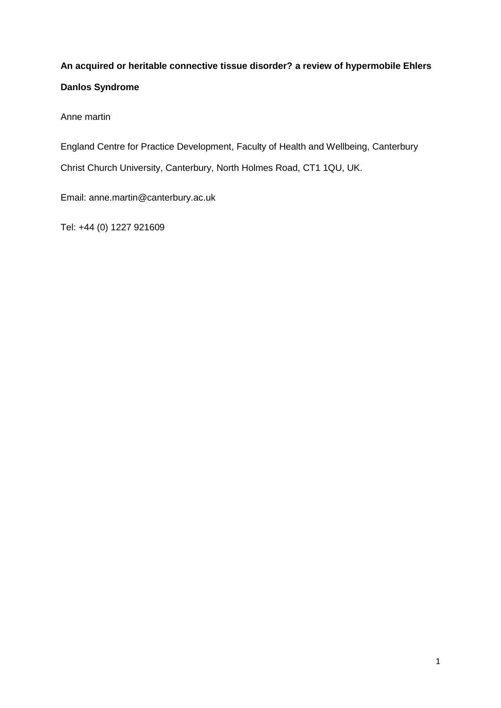# **An acquired or heritable connective tissue disorder? a review of hypermobile Ehlers Danlos Syndrome**

Anne martin

England Centre for Practice Development, Faculty of Health and Wellbeing, Canterbury

Christ Church University, Canterbury, North Holmes Road, CT1 1QU, UK.

Email: anne.martin@canterbury.ac.uk

Tel: +44 (0) 1227 921609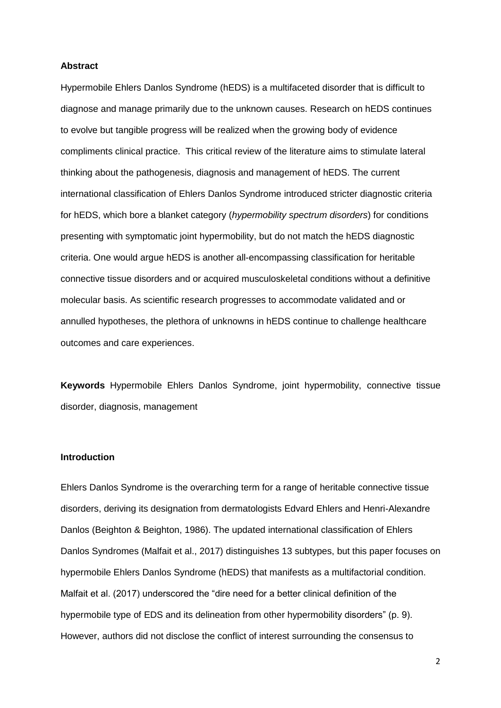#### **Abstract**

Hypermobile Ehlers Danlos Syndrome (hEDS) is a multifaceted disorder that is difficult to diagnose and manage primarily due to the unknown causes. Research on hEDS continues to evolve but tangible progress will be realized when the growing body of evidence compliments clinical practice. This critical review of the literature aims to stimulate lateral thinking about the pathogenesis, diagnosis and management of hEDS. The current international classification of Ehlers Danlos Syndrome introduced stricter diagnostic criteria for hEDS, which bore a blanket category (*hypermobility spectrum disorders*) for conditions presenting with symptomatic joint hypermobility, but do not match the hEDS diagnostic criteria. One would argue hEDS is another all-encompassing classification for heritable connective tissue disorders and or acquired musculoskeletal conditions without a definitive molecular basis. As scientific research progresses to accommodate validated and or annulled hypotheses, the plethora of unknowns in hEDS continue to challenge healthcare outcomes and care experiences.

**Keywords** Hypermobile Ehlers Danlos Syndrome, joint hypermobility, connective tissue disorder, diagnosis, management

### **Introduction**

Ehlers Danlos Syndrome is the overarching term for a range of heritable connective tissue disorders, deriving its designation from dermatologists Edvard Ehlers and Henri-Alexandre Danlos (Beighton & Beighton, 1986). The updated international classification of Ehlers Danlos Syndromes (Malfait et al., 2017) distinguishes 13 subtypes, but this paper focuses on hypermobile Ehlers Danlos Syndrome (hEDS) that manifests as a multifactorial condition. Malfait et al. (2017) underscored the "dire need for a better clinical definition of the hypermobile type of EDS and its delineation from other hypermobility disorders" (p. 9). However, authors did not disclose the conflict of interest surrounding the consensus to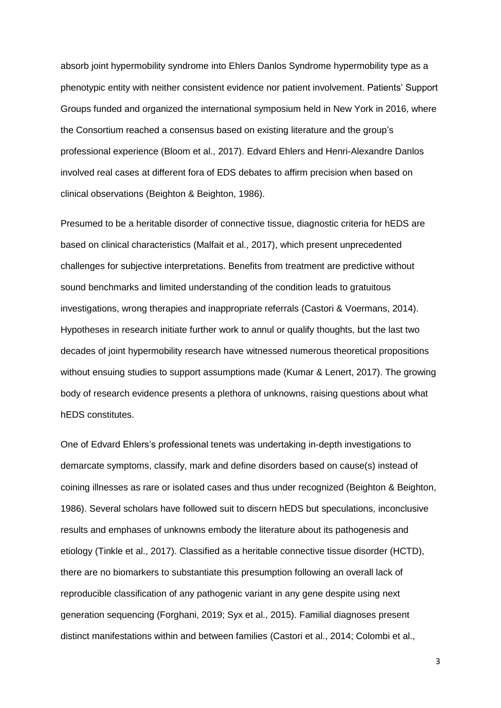absorb joint hypermobility syndrome into Ehlers Danlos Syndrome hypermobility type as a phenotypic entity with neither consistent evidence nor patient involvement. Patients' Support Groups funded and organized the international symposium held in New York in 2016, where the Consortium reached a consensus based on existing literature and the group's professional experience (Bloom et al., 2017). Edvard Ehlers and Henri-Alexandre Danlos involved real cases at different fora of EDS debates to affirm precision when based on clinical observations (Beighton & Beighton, 1986).

Presumed to be a heritable disorder of connective tissue, diagnostic criteria for hEDS are based on clinical characteristics (Malfait et al., 2017), which present unprecedented challenges for subjective interpretations. Benefits from treatment are predictive without sound benchmarks and limited understanding of the condition leads to gratuitous investigations, wrong therapies and inappropriate referrals (Castori & Voermans, 2014). Hypotheses in research initiate further work to annul or qualify thoughts, but the last two decades of joint hypermobility research have witnessed numerous theoretical propositions without ensuing studies to support assumptions made (Kumar & Lenert, 2017). The growing body of research evidence presents a plethora of unknowns, raising questions about what hEDS constitutes.

One of Edvard Ehlers's professional tenets was undertaking in-depth investigations to demarcate symptoms, classify, mark and define disorders based on cause(s) instead of coining illnesses as rare or isolated cases and thus under recognized (Beighton & Beighton, 1986). Several scholars have followed suit to discern hEDS but speculations, inconclusive results and emphases of unknowns embody the literature about its pathogenesis and etiology (Tinkle et al., 2017). Classified as a heritable connective tissue disorder (HCTD), there are no biomarkers to substantiate this presumption following an overall lack of reproducible classification of any pathogenic variant in any gene despite using next generation sequencing (Forghani, 2019; Syx et al., 2015). Familial diagnoses present distinct manifestations within and between families (Castori et al., 2014; Colombi et al.,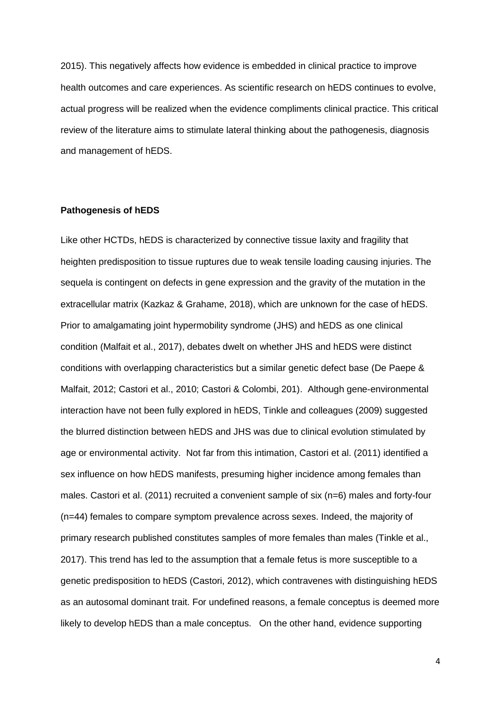2015). This negatively affects how evidence is embedded in clinical practice to improve health outcomes and care experiences. As scientific research on hEDS continues to evolve, actual progress will be realized when the evidence compliments clinical practice. This critical review of the literature aims to stimulate lateral thinking about the pathogenesis, diagnosis and management of hEDS.

# **Pathogenesis of hEDS**

Like other HCTDs, hEDS is characterized by connective tissue laxity and fragility that heighten predisposition to tissue ruptures due to weak tensile loading causing injuries. The sequela is contingent on defects in gene expression and the gravity of the mutation in the extracellular matrix (Kazkaz & Grahame, 2018), which are unknown for the case of hEDS. Prior to amalgamating joint hypermobility syndrome (JHS) and hEDS as one clinical condition (Malfait et al., 2017), debates dwelt on whether JHS and hEDS were distinct conditions with overlapping characteristics but a similar genetic defect base (De Paepe & Malfait, 2012; Castori et al., 2010; Castori & Colombi, 201). Although gene-environmental interaction have not been fully explored in hEDS, Tinkle and colleagues (2009) suggested the blurred distinction between hEDS and JHS was due to clinical evolution stimulated by age or environmental activity. Not far from this intimation, Castori et al. (2011) identified a sex influence on how hEDS manifests, presuming higher incidence among females than males. Castori et al. (2011) recruited a convenient sample of six (n=6) males and forty-four (n=44) females to compare symptom prevalence across sexes. Indeed, the majority of primary research published constitutes samples of more females than males (Tinkle et al., 2017). This trend has led to the assumption that a female fetus is more susceptible to a genetic predisposition to hEDS (Castori, 2012), which contravenes with distinguishing hEDS as an autosomal dominant trait. For undefined reasons, a female conceptus is deemed more likely to develop hEDS than a male conceptus. On the other hand, evidence supporting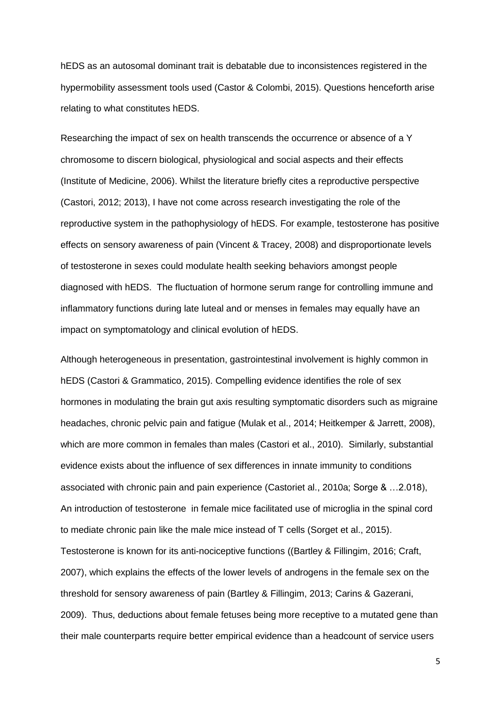hEDS as an autosomal dominant trait is debatable due to inconsistences registered in the hypermobility assessment tools used (Castor & Colombi, 2015). Questions henceforth arise relating to what constitutes hEDS.

Researching the impact of sex on health transcends the occurrence or absence of a Y chromosome to discern biological, physiological and social aspects and their effects (Institute of Medicine, 2006). Whilst the literature briefly cites a reproductive perspective (Castori, 2012; 2013), I have not come across research investigating the role of the reproductive system in the pathophysiology of hEDS. For example, testosterone has positive effects on sensory awareness of pain (Vincent & Tracey, 2008) and disproportionate levels of testosterone in sexes could modulate health seeking behaviors amongst people diagnosed with hEDS. The fluctuation of hormone serum range for controlling immune and inflammatory functions during late luteal and or menses in females may equally have an impact on symptomatology and clinical evolution of hEDS.

Although heterogeneous in presentation, gastrointestinal involvement is highly common in hEDS (Castori & Grammatico, 2015). Compelling evidence identifies the role of sex hormones in modulating the brain gut axis resulting symptomatic disorders such as migraine headaches, chronic pelvic pain and fatigue (Mulak et al., 2014; Heitkemper & Jarrett, 2008), which are more common in females than males (Castori et al., 2010). Similarly, substantial evidence exists about the influence of sex differences in innate immunity to conditions associated with chronic pain and pain experience (Castoriet al., 2010a; Sorge & …2.018), An introduction of testosterone in female mice facilitated use of microglia in the spinal cord to mediate chronic pain like the male mice instead of T cells (Sorget et al., 2015). Testosterone is known for its anti-nociceptive functions ((Bartley & Fillingim, 2016; Craft, 2007), which explains the effects of the lower levels of androgens in the female sex on the threshold for sensory awareness of pain (Bartley & Fillingim, 2013; Carins & Gazerani, 2009). Thus, deductions about female fetuses being more receptive to a mutated gene than their male counterparts require better empirical evidence than a headcount of service users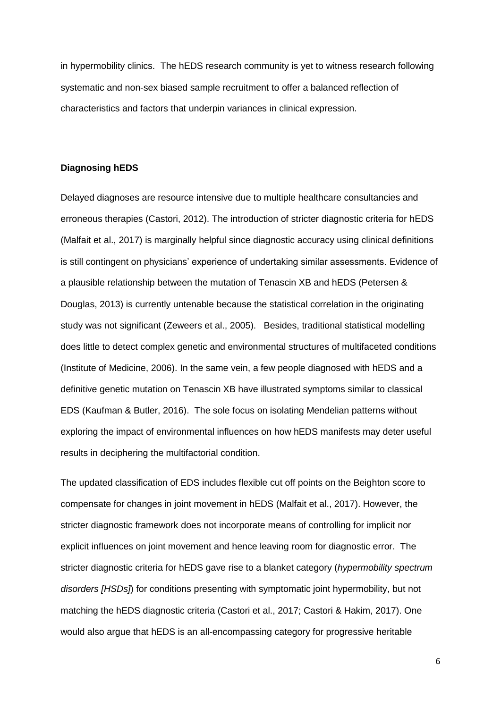in hypermobility clinics. The hEDS research community is yet to witness research following systematic and non-sex biased sample recruitment to offer a balanced reflection of characteristics and factors that underpin variances in clinical expression.

#### **Diagnosing hEDS**

Delayed diagnoses are resource intensive due to multiple healthcare consultancies and erroneous therapies (Castori, 2012). The introduction of stricter diagnostic criteria for hEDS (Malfait et al., 2017) is marginally helpful since diagnostic accuracy using clinical definitions is still contingent on physicians' experience of undertaking similar assessments. Evidence of a plausible relationship between the mutation of Tenascin XB and hEDS (Petersen & Douglas, 2013) is currently untenable because the statistical correlation in the originating study was not significant (Zeweers et al., 2005). Besides, traditional statistical modelling does little to detect complex genetic and environmental structures of multifaceted conditions (Institute of Medicine, 2006). In the same vein, a few people diagnosed with hEDS and a definitive genetic mutation on Tenascin XB have illustrated symptoms similar to classical EDS (Kaufman & Butler, 2016). The sole focus on isolating Mendelian patterns without exploring the impact of environmental influences on how hEDS manifests may deter useful results in deciphering the multifactorial condition.

The updated classification of EDS includes flexible cut off points on the Beighton score to compensate for changes in joint movement in hEDS (Malfait et al., 2017). However, the stricter diagnostic framework does not incorporate means of controlling for implicit nor explicit influences on joint movement and hence leaving room for diagnostic error. The stricter diagnostic criteria for hEDS gave rise to a blanket category (*hypermobility spectrum disorders [HSDs]*) for conditions presenting with symptomatic joint hypermobility, but not matching the hEDS diagnostic criteria (Castori et al., 2017; Castori & Hakim, 2017). One would also argue that hEDS is an all-encompassing category for progressive heritable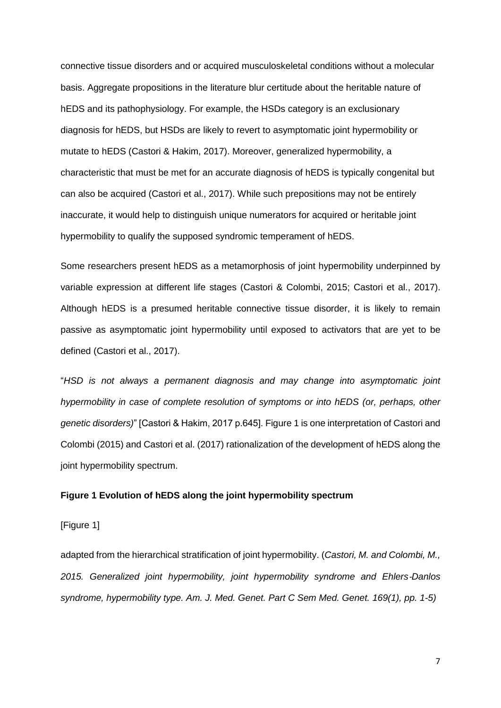connective tissue disorders and or acquired musculoskeletal conditions without a molecular basis. Aggregate propositions in the literature blur certitude about the heritable nature of hEDS and its pathophysiology. For example, the HSDs category is an exclusionary diagnosis for hEDS, but HSDs are likely to revert to asymptomatic joint hypermobility or mutate to hEDS (Castori & Hakim, 2017). Moreover, generalized hypermobility, a characteristic that must be met for an accurate diagnosis of hEDS is typically congenital but can also be acquired (Castori et al., 2017). While such prepositions may not be entirely inaccurate, it would help to distinguish unique numerators for acquired or heritable joint hypermobility to qualify the supposed syndromic temperament of hEDS.

Some researchers present hEDS as a metamorphosis of joint hypermobility underpinned by variable expression at different life stages (Castori & Colombi, 2015; Castori et al., 2017). Although hEDS is a presumed heritable connective tissue disorder, it is likely to remain passive as asymptomatic joint hypermobility until exposed to activators that are yet to be defined (Castori et al., 2017).

"*HSD is not always a permanent diagnosis and may change into asymptomatic joint hypermobility in case of complete resolution of symptoms or into hEDS (or, perhaps, other genetic disorders)*" [Castori & Hakim, 2017 p.645]. Figure 1 is one interpretation of Castori and Colombi (2015) and Castori et al. (2017) rationalization of the development of hEDS along the joint hypermobility spectrum.

# **Figure 1 Evolution of hEDS along the joint hypermobility spectrum**

[Figure 1]

adapted from the hierarchical stratification of joint hypermobility. (*Castori, M. and Colombi, M., 2015. Generalized joint hypermobility, joint hypermobility syndrome and Ehlers*‐*Danlos syndrome, hypermobility type. Am. J. Med. Genet. Part C Sem Med. Genet. 169(1), pp. 1-5)*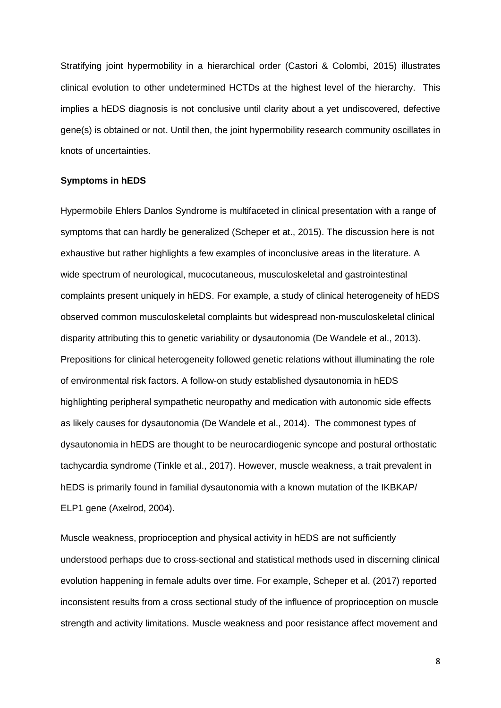Stratifying joint hypermobility in a hierarchical order (Castori & Colombi, 2015) illustrates clinical evolution to other undetermined HCTDs at the highest level of the hierarchy. This implies a hEDS diagnosis is not conclusive until clarity about a yet undiscovered, defective gene(s) is obtained or not. Until then, the joint hypermobility research community oscillates in knots of uncertainties.

## **Symptoms in hEDS**

Hypermobile Ehlers Danlos Syndrome is multifaceted in clinical presentation with a range of symptoms that can hardly be generalized (Scheper et at., 2015). The discussion here is not exhaustive but rather highlights a few examples of inconclusive areas in the literature. A wide spectrum of neurological, mucocutaneous, musculoskeletal and gastrointestinal complaints present uniquely in hEDS. For example, a study of clinical heterogeneity of hEDS observed common musculoskeletal complaints but widespread non-musculoskeletal clinical disparity attributing this to genetic variability or dysautonomia (De Wandele et al., 2013). Prepositions for clinical heterogeneity followed genetic relations without illuminating the role of environmental risk factors. A follow-on study established dysautonomia in hEDS highlighting peripheral sympathetic neuropathy and medication with autonomic side effects as likely causes for dysautonomia (De Wandele et al., 2014). The commonest types of dysautonomia in hEDS are thought to be neurocardiogenic syncope and postural orthostatic tachycardia syndrome (Tinkle et al., 2017). However, muscle weakness, a trait prevalent in hEDS is primarily found in familial dysautonomia with a known mutation of the IKBKAP/ ELP1 gene (Axelrod, 2004).

Muscle weakness, proprioception and physical activity in hEDS are not sufficiently understood perhaps due to cross-sectional and statistical methods used in discerning clinical evolution happening in female adults over time. For example, Scheper et al. (2017) reported inconsistent results from a cross sectional study of the influence of proprioception on muscle strength and activity limitations. Muscle weakness and poor resistance affect movement and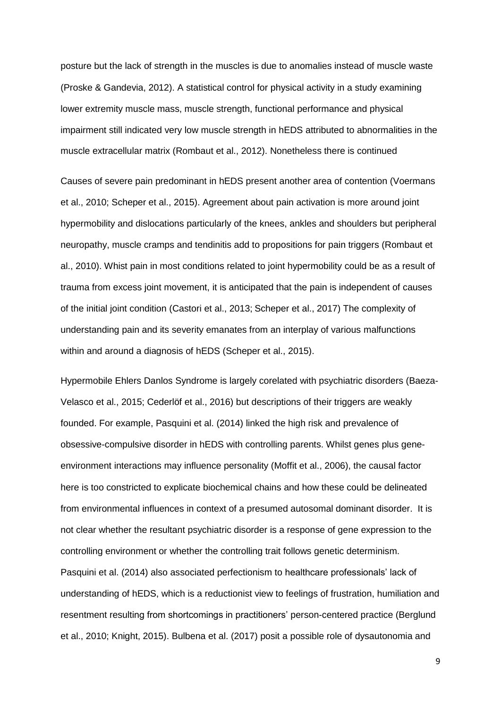posture but the lack of strength in the muscles is due to anomalies instead of muscle waste (Proske & Gandevia, 2012). A statistical control for physical activity in a study examining lower extremity muscle mass, muscle strength, functional performance and physical impairment still indicated very low muscle strength in hEDS attributed to abnormalities in the muscle extracellular matrix (Rombaut et al., 2012). Nonetheless there is continued

Causes of severe pain predominant in hEDS present another area of contention (Voermans et al., 2010; Scheper et al., 2015). Agreement about pain activation is more around joint hypermobility and dislocations particularly of the knees, ankles and shoulders but peripheral neuropathy, muscle cramps and tendinitis add to propositions for pain triggers (Rombaut et al., 2010). Whist pain in most conditions related to joint hypermobility could be as a result of trauma from excess joint movement, it is anticipated that the pain is independent of causes of the initial joint condition (Castori et al., 2013; Scheper et al., 2017) The complexity of understanding pain and its severity emanates from an interplay of various malfunctions within and around a diagnosis of hEDS (Scheper et al., 2015).

Hypermobile Ehlers Danlos Syndrome is largely corelated with psychiatric disorders (Baeza-Velasco et al., 2015; Cederlöf et al., 2016) but descriptions of their triggers are weakly founded. For example, Pasquini et al. (2014) linked the high risk and prevalence of obsessive-compulsive disorder in hEDS with controlling parents. Whilst genes plus geneenvironment interactions may influence personality (Moffit et al., 2006), the causal factor here is too constricted to explicate biochemical chains and how these could be delineated from environmental influences in context of a presumed autosomal dominant disorder. It is not clear whether the resultant psychiatric disorder is a response of gene expression to the controlling environment or whether the controlling trait follows genetic determinism. Pasquini et al. (2014) also associated perfectionism to healthcare professionals' lack of understanding of hEDS, which is a reductionist view to feelings of frustration, humiliation and resentment resulting from shortcomings in practitioners' person-centered practice (Berglund et al., 2010; Knight, 2015). Bulbena et al. (2017) posit a possible role of dysautonomia and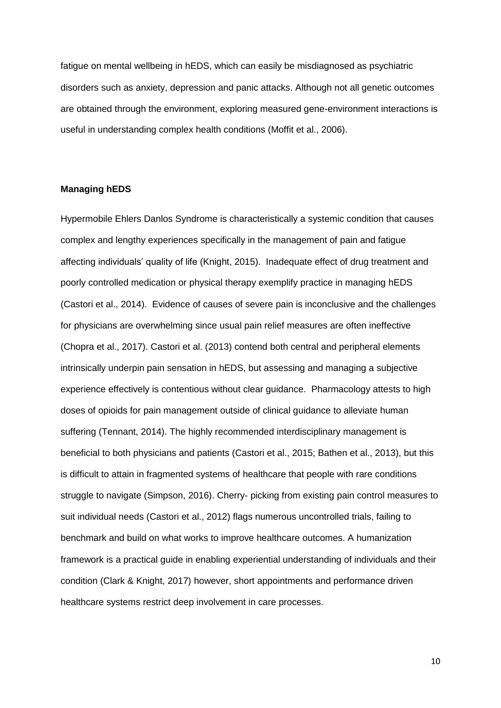fatigue on mental wellbeing in hEDS, which can easily be misdiagnosed as psychiatric disorders such as anxiety, depression and panic attacks. Although not all genetic outcomes are obtained through the environment, exploring measured gene-environment interactions is useful in understanding complex health conditions (Moffit et al., 2006).

# **Managing hEDS**

Hypermobile Ehlers Danlos Syndrome is characteristically a systemic condition that causes complex and lengthy experiences specifically in the management of pain and fatigue affecting individuals' quality of life (Knight, 2015). Inadequate effect of drug treatment and poorly controlled medication or physical therapy exemplify practice in managing hEDS (Castori et al., 2014). Evidence of causes of severe pain is inconclusive and the challenges for physicians are overwhelming since usual pain relief measures are often ineffective (Chopra et al., 2017). Castori et al. (2013) contend both central and peripheral elements intrinsically underpin pain sensation in hEDS, but assessing and managing a subjective experience effectively is contentious without clear guidance. Pharmacology attests to high doses of opioids for pain management outside of clinical guidance to alleviate human suffering (Tennant, 2014). The highly recommended interdisciplinary management is beneficial to both physicians and patients (Castori et al., 2015; Bathen et al., 2013), but this is difficult to attain in fragmented systems of healthcare that people with rare conditions struggle to navigate (Simpson, 2016). Cherry- picking from existing pain control measures to suit individual needs (Castori et al., 2012) flags numerous uncontrolled trials, failing to benchmark and build on what works to improve healthcare outcomes. A humanization framework is a practical guide in enabling experiential understanding of individuals and their condition (Clark & Knight, 2017) however, short appointments and performance driven healthcare systems restrict deep involvement in care processes.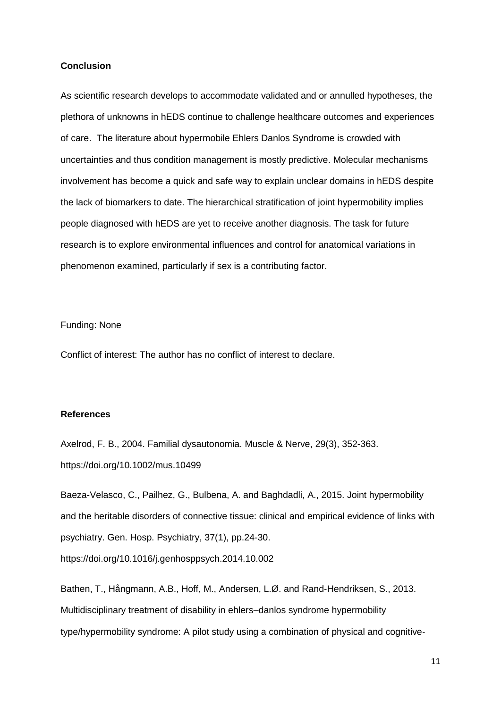### **Conclusion**

As scientific research develops to accommodate validated and or annulled hypotheses, the plethora of unknowns in hEDS continue to challenge healthcare outcomes and experiences of care. The literature about hypermobile Ehlers Danlos Syndrome is crowded with uncertainties and thus condition management is mostly predictive. Molecular mechanisms involvement has become a quick and safe way to explain unclear domains in hEDS despite the lack of biomarkers to date. The hierarchical stratification of joint hypermobility implies people diagnosed with hEDS are yet to receive another diagnosis. The task for future research is to explore environmental influences and control for anatomical variations in phenomenon examined, particularly if sex is a contributing factor.

Funding: None

Conflict of interest: The author has no conflict of interest to declare.

# **References**

Axelrod, F. B., 2004. Familial dysautonomia. Muscle & Nerve, 29(3), 352-363. https://doi.org/10.1002/mus.10499

Baeza-Velasco, C., Pailhez, G., Bulbena, A. and Baghdadli, A., 2015. Joint hypermobility and the heritable disorders of connective tissue: clinical and empirical evidence of links with psychiatry. Gen. Hosp. Psychiatry, 37(1), pp.24-30.

https://doi.org/10.1016/j.genhosppsych.2014.10.002

Bathen, T., Hångmann, A.B., Hoff, M., Andersen, L.Ø. and Rand‐Hendriksen, S., 2013. Multidisciplinary treatment of disability in ehlers–danlos syndrome hypermobility type/hypermobility syndrome: A pilot study using a combination of physical and cognitive‐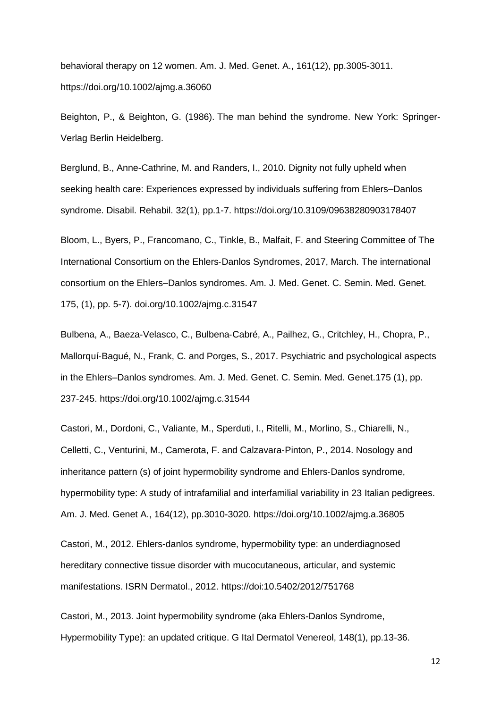behavioral therapy on 12 women. Am. J. Med. Genet. A., 161(12), pp.3005-3011. https://doi.org/10.1002/ajmg.a.36060

Beighton, P., & Beighton, G. (1986). The man behind the syndrome. New York: Springer-Verlag Berlin Heidelberg.

Berglund, B., Anne-Cathrine, M. and Randers, I., 2010. Dignity not fully upheld when seeking health care: Experiences expressed by individuals suffering from Ehlers–Danlos syndrome. Disabil. Rehabil. 32(1), pp.1-7. https://doi.org/10.3109/09638280903178407

Bloom, L., Byers, P., Francomano, C., Tinkle, B., Malfait, F. and Steering Committee of The International Consortium on the Ehlers‐Danlos Syndromes, 2017, March. The international consortium on the Ehlers–Danlos syndromes. Am. J. Med. Genet. C. Semin. Med. Genet. 175, (1), pp. 5-7). doi.org/10.1002/ajmg.c.31547

Bulbena, A., Baeza‐Velasco, C., Bulbena‐Cabré, A., Pailhez, G., Critchley, H., Chopra, P., Mallorquí‐Bagué, N., Frank, C. and Porges, S., 2017. Psychiatric and psychological aspects in the Ehlers–Danlos syndromes. Am. J. Med. Genet. C. Semin. Med. Genet.175 (1), pp. 237-245. https://doi.org/10.1002/ajmg.c.31544

Castori, M., Dordoni, C., Valiante, M., Sperduti, I., Ritelli, M., Morlino, S., Chiarelli, N., Celletti, C., Venturini, M., Camerota, F. and Calzavara‐Pinton, P., 2014. Nosology and inheritance pattern (s) of joint hypermobility syndrome and Ehlers‐Danlos syndrome, hypermobility type: A study of intrafamilial and interfamilial variability in 23 Italian pedigrees. Am. J. Med. Genet A., 164(12), pp.3010-3020. https://doi.org/10.1002/ajmg.a.36805

Castori, M., 2012. Ehlers-danlos syndrome, hypermobility type: an underdiagnosed hereditary connective tissue disorder with mucocutaneous, articular, and systemic manifestations. ISRN Dermatol., 2012. https://doi:10.5402/2012/751768

Castori, M., 2013. Joint hypermobility syndrome (aka Ehlers-Danlos Syndrome, Hypermobility Type): an updated critique. G Ital Dermatol Venereol, 148(1), pp.13-36.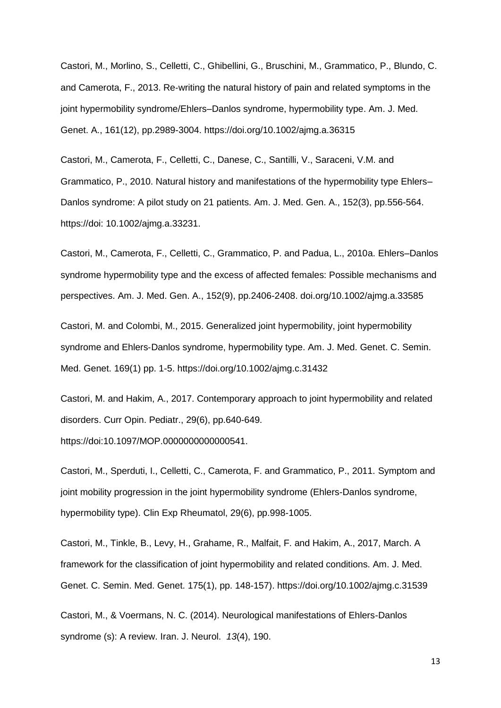Castori, M., Morlino, S., Celletti, C., Ghibellini, G., Bruschini, M., Grammatico, P., Blundo, C. and Camerota, F., 2013. Re‐writing the natural history of pain and related symptoms in the joint hypermobility syndrome/Ehlers–Danlos syndrome, hypermobility type. Am. J. Med. Genet. A., 161(12), pp.2989-3004. https://doi.org/10.1002/ajmg.a.36315

Castori, M., Camerota, F., Celletti, C., Danese, C., Santilli, V., Saraceni, V.M. and Grammatico, P., 2010. Natural history and manifestations of the hypermobility type Ehlers– Danlos syndrome: A pilot study on 21 patients. Am. J. Med. Gen. A., 152(3), pp.556-564. https://doi: 10.1002/ajmg.a.33231.

Castori, M., Camerota, F., Celletti, C., Grammatico, P. and Padua, L., 2010a. Ehlers–Danlos syndrome hypermobility type and the excess of affected females: Possible mechanisms and perspectives. Am. J. Med. Gen. A., 152(9), pp.2406-2408. doi.org/10.1002/ajmg.a.33585

Castori, M. and Colombi, M., 2015. Generalized joint hypermobility, joint hypermobility syndrome and Ehlers-Danlos syndrome, hypermobility type. Am. J. Med. Genet. C. Semin. Med. Genet. 169(1) pp. 1-5. https://doi.org/10.1002/ajmg.c.31432

Castori, M. and Hakim, A., 2017. Contemporary approach to joint hypermobility and related disorders. Curr Opin. Pediatr., 29(6), pp.640-649.

https://doi:10.1097/MOP.0000000000000541.

Castori, M., Sperduti, I., Celletti, C., Camerota, F. and Grammatico, P., 2011. Symptom and joint mobility progression in the joint hypermobility syndrome (Ehlers-Danlos syndrome, hypermobility type). Clin Exp Rheumatol, 29(6), pp.998-1005.

Castori, M., Tinkle, B., Levy, H., Grahame, R., Malfait, F. and Hakim, A., 2017, March. A framework for the classification of joint hypermobility and related conditions. Am. J. Med. Genet. C. Semin. Med. Genet. 175(1), pp. 148-157). https://doi.org/10.1002/ajmg.c.31539

Castori, M., & Voermans, N. C. (2014). Neurological manifestations of Ehlers-Danlos syndrome (s): A review. Iran. J. Neurol. *13*(4), 190.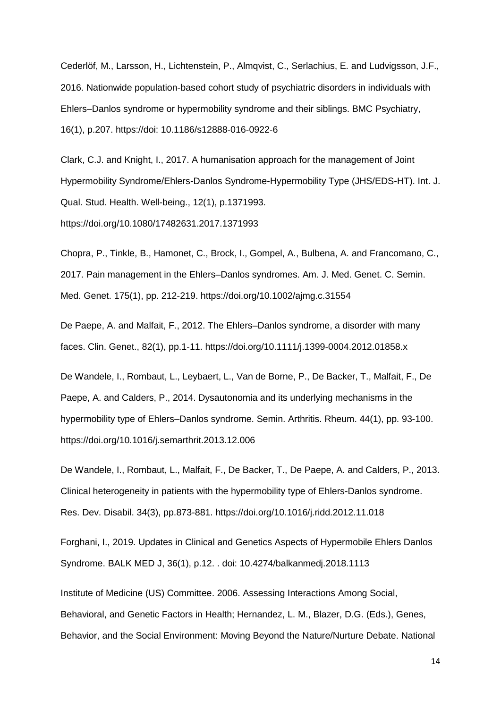Cederlöf, M., Larsson, H., Lichtenstein, P., Almqvist, C., Serlachius, E. and Ludvigsson, J.F., 2016. Nationwide population-based cohort study of psychiatric disorders in individuals with Ehlers–Danlos syndrome or hypermobility syndrome and their siblings. BMC Psychiatry, 16(1), p.207. https://doi: 10.1186/s12888-016-0922-6

Clark, C.J. and Knight, I., 2017. A humanisation approach for the management of Joint Hypermobility Syndrome/Ehlers-Danlos Syndrome-Hypermobility Type (JHS/EDS-HT). Int. J. Qual. Stud. Health. Well-being., 12(1), p.1371993. https://doi.org/10.1080/17482631.2017.1371993

Chopra, P., Tinkle, B., Hamonet, C., Brock, I., Gompel, A., Bulbena, A. and Francomano, C., 2017. Pain management in the Ehlers–Danlos syndromes. Am. J. Med. Genet. C. Semin. Med. Genet. 175(1), pp. 212-219. https://doi.org/10.1002/ajmg.c.31554

De Paepe, A. and Malfait, F., 2012. The Ehlers–Danlos syndrome, a disorder with many faces. Clin. Genet., 82(1), pp.1-11. https://doi.org/10.1111/j.1399-0004.2012.01858.x

De Wandele, I., Rombaut, L., Leybaert, L., Van de Borne, P., De Backer, T., Malfait, F., De Paepe, A. and Calders, P., 2014. Dysautonomia and its underlying mechanisms in the hypermobility type of Ehlers–Danlos syndrome. Semin. Arthritis. Rheum. 44(1), pp. 93-100. https://doi.org/10.1016/j.semarthrit.2013.12.006

De Wandele, I., Rombaut, L., Malfait, F., De Backer, T., De Paepe, A. and Calders, P., 2013. Clinical heterogeneity in patients with the hypermobility type of Ehlers-Danlos syndrome. Res. Dev. Disabil. 34(3), pp.873-881. https://doi.org/10.1016/j.ridd.2012.11.018

Forghani, I., 2019. Updates in Clinical and Genetics Aspects of Hypermobile Ehlers Danlos Syndrome. BALK MED J, 36(1), p.12. . doi: 10.4274/balkanmedj.2018.1113

Institute of Medicine (US) Committee. 2006. Assessing Interactions Among Social, Behavioral, and Genetic Factors in Health; Hernandez, L. M., Blazer, D.G. (Eds.), Genes, Behavior, and the Social Environment: Moving Beyond the Nature/Nurture Debate. National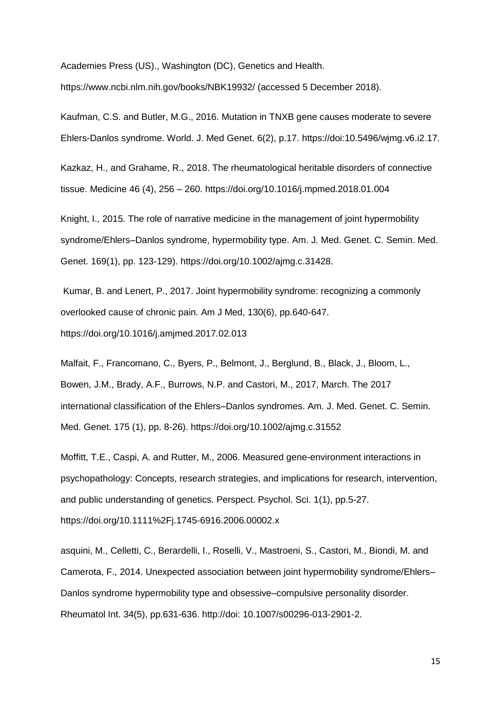Academies Press (US)., Washington (DC), Genetics and Health.

https://www.ncbi.nlm.nih.gov/books/NBK19932/ (accessed 5 December 2018).

Kaufman, C.S. and Butler, M.G., 2016. Mutation in TNXB gene causes moderate to severe Ehlers-Danlos syndrome. World. J. Med Genet. 6(2), p.17. https://doi:10.5496/wjmg.v6.i2.17.

Kazkaz, H., and Grahame, R., 2018. The rheumatological heritable disorders of connective tissue. Medicine 46 (4), 256 – 260. https://doi.org/10.1016/j.mpmed.2018.01.004

Knight, I., 2015. The role of narrative medicine in the management of joint hypermobility syndrome/Ehlers–Danlos syndrome, hypermobility type. Am. J. Med. Genet. C. Semin. Med. Genet. 169(1), pp. 123-129). https://doi.org/10.1002/ajmg.c.31428.

Kumar, B. and Lenert, P., 2017. Joint hypermobility syndrome: recognizing a commonly overlooked cause of chronic pain. Am J Med, 130(6), pp.640-647. https://doi.org/10.1016/j.amjmed.2017.02.013

Malfait, F., Francomano, C., Byers, P., Belmont, J., Berglund, B., Black, J., Bloom, L., Bowen, J.M., Brady, A.F., Burrows, N.P. and Castori, M., 2017, March. The 2017 international classification of the Ehlers–Danlos syndromes. Am. J. Med. Genet. C. Semin. Med. Genet. 175 (1), pp. 8-26). https://doi.org/10.1002/ajmg.c.31552

Moffitt, T.E., Caspi, A. and Rutter, M., 2006. Measured gene-environment interactions in psychopathology: Concepts, research strategies, and implications for research, intervention, and public understanding of genetics. Perspect. Psychol. Sci. 1(1), pp.5-27. https://doi.org/10.1111%2Fj.1745-6916.2006.00002.x

asquini, M., Celletti, C., Berardelli, I., Roselli, V., Mastroeni, S., Castori, M., Biondi, M. and Camerota, F., 2014. Unexpected association between joint hypermobility syndrome/Ehlers– Danlos syndrome hypermobility type and obsessive–compulsive personality disorder. Rheumatol Int. 34(5), pp.631-636. http://doi: 10.1007/s00296-013-2901-2.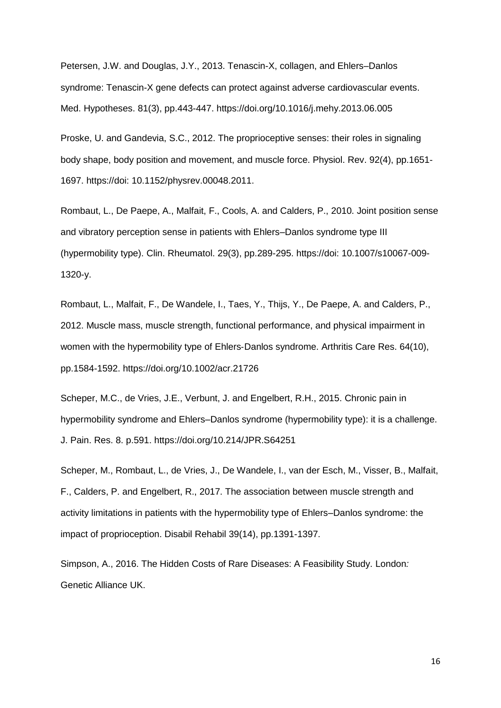Petersen, J.W. and Douglas, J.Y., 2013. Tenascin-X, collagen, and Ehlers–Danlos syndrome: Tenascin-X gene defects can protect against adverse cardiovascular events. Med. Hypotheses. 81(3), pp.443-447. https://doi.org/10.1016/j.mehy.2013.06.005

Proske, U. and Gandevia, S.C., 2012. The proprioceptive senses: their roles in signaling body shape, body position and movement, and muscle force. Physiol. Rev. 92(4), pp.1651- 1697. https://doi: 10.1152/physrev.00048.2011.

Rombaut, L., De Paepe, A., Malfait, F., Cools, A. and Calders, P., 2010. Joint position sense and vibratory perception sense in patients with Ehlers–Danlos syndrome type III (hypermobility type). Clin. Rheumatol. 29(3), pp.289-295. https://doi: 10.1007/s10067-009- 1320-y.

Rombaut, L., Malfait, F., De Wandele, I., Taes, Y., Thijs, Y., De Paepe, A. and Calders, P., 2012. Muscle mass, muscle strength, functional performance, and physical impairment in women with the hypermobility type of Ehlers-Danlos syndrome. Arthritis Care Res. 64(10), pp.1584-1592. https://doi.org/10.1002/acr.21726

Scheper, M.C., de Vries, J.E., Verbunt, J. and Engelbert, R.H., 2015. Chronic pain in hypermobility syndrome and Ehlers–Danlos syndrome (hypermobility type): it is a challenge. J. Pain. Res. 8. p.591. https://doi.org/10.214/JPR.S64251

Scheper, M., Rombaut, L., de Vries, J., De Wandele, I., van der Esch, M., Visser, B., Malfait, F., Calders, P. and Engelbert, R., 2017. The association between muscle strength and activity limitations in patients with the hypermobility type of Ehlers–Danlos syndrome: the impact of proprioception. Disabil Rehabil 39(14), pp.1391-1397.

Simpson, A., 2016. The Hidden Costs of Rare Diseases: A Feasibility Study. London*:*  Genetic Alliance UK.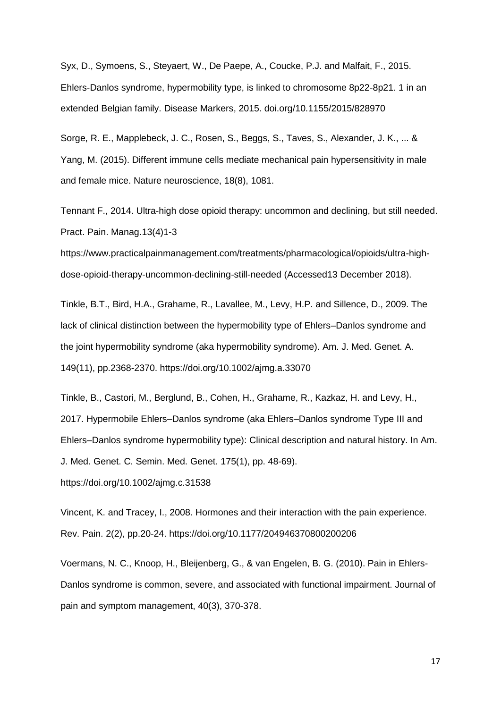Syx, D., Symoens, S., Steyaert, W., De Paepe, A., Coucke, P.J. and Malfait, F., 2015. Ehlers-Danlos syndrome, hypermobility type, is linked to chromosome 8p22-8p21. 1 in an extended Belgian family. Disease Markers, 2015. doi.org/10.1155/2015/828970

Sorge, R. E., Mapplebeck, J. C., Rosen, S., Beggs, S., Taves, S., Alexander, J. K., ... & Yang, M. (2015). Different immune cells mediate mechanical pain hypersensitivity in male and female mice. Nature neuroscience, 18(8), 1081.

Tennant F., 2014. Ultra-high dose opioid therapy: uncommon and declining, but still needed. Pract. Pain. Manag.13(4)1-3

[https://www.practicalpainmanagement.com/treatments/pharmacological/opioids/ultra-high](https://www.practicalpainmanagement.com/treatments/pharmacological/opioids/ultra-high-dose-opioid-therapy-uncommon-declining-still-needed)[dose-opioid-therapy-uncommon-declining-still-needed](https://www.practicalpainmanagement.com/treatments/pharmacological/opioids/ultra-high-dose-opioid-therapy-uncommon-declining-still-needed) (Accessed13 December 2018).

Tinkle, B.T., Bird, H.A., Grahame, R., Lavallee, M., Levy, H.P. and Sillence, D., 2009. The lack of clinical distinction between the hypermobility type of Ehlers–Danlos syndrome and the joint hypermobility syndrome (aka hypermobility syndrome). Am. J. Med. Genet. A. 149(11), pp.2368-2370. https://doi.org/10.1002/ajmg.a.33070

Tinkle, B., Castori, M., Berglund, B., Cohen, H., Grahame, R., Kazkaz, H. and Levy, H., 2017. Hypermobile Ehlers–Danlos syndrome (aka Ehlers–Danlos syndrome Type III and Ehlers–Danlos syndrome hypermobility type): Clinical description and natural history. In Am. J. Med. Genet. C. Semin. Med. Genet. 175(1), pp. 48-69). https://doi.org/10.1002/ajmg.c.31538

Vincent, K. and Tracey, I., 2008. Hormones and their interaction with the pain experience. Rev. Pain. 2(2), pp.20-24. https://doi.org/10.1177/204946370800200206

Voermans, N. C., Knoop, H., Bleijenberg, G., & van Engelen, B. G. (2010). Pain in Ehlers-Danlos syndrome is common, severe, and associated with functional impairment. Journal of pain and symptom management, 40(3), 370-378.